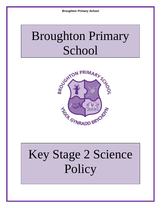# Broughton Primary **School**



# Key Stage 2 Science Policy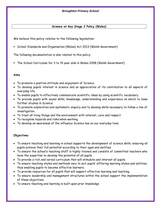# **Science at Key Stage 2 Policy (Wales)**

We believe this policy relates to the following legislation:

School Standards and Organisation (Wales) Act 2013 (Welsh Government)

The following documentation is also related to this policy:

The School Curriculum for 3 to 19 year olds in Wales 2008 (Welsh Government)

#### **Aims**

- To promote a positive attitude and enjoyment of Science.
- To develop pupils' interest in science and an appreciation of its contribution to all aspects of everyday life.
- To enable pupils to effectively communicate scientific ideas by using scientific vocabulary.
- To provide pupils with sound skills, knowledge, understanding and experience on which to base further studies in Science.
- To promote exploration and systematic enquiry and to develop skills necessary to follow a line of investigation.
- To treat all living things and the environment with interest, care and respect.
- To recognise hazards and risks when working.
- To develop an awareness of the influence Science has on our everyday lives.

# **Objectives**

- To ensure teaching and learning in school supports the development of science skills, ensuring all pupils achieve their full potential according to their ages and abilities.
- To ensure the school's teaching staff is highly trained and consists of committed teachers who have the expertise to develop the potential of all pupils.
- To provide a rich and varied curriculum that will stimulate and interest all pupils.
- To ensure teaching styles and methods vary to suit pupils' differing learning styles and abilities, thus enabling pupils to become effective learners.
- To provide resources for all pupils that will support effective learning and teaching.
- To ensure leadership and management structures within the school support the implementation of these objectives.
- To ensure teaching and learning is built upon prior knowledge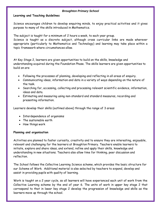#### **Learning and Teaching Guidelines**

Science encourages children to develop enquiring minds, to enjoy practical activities and it gives purpose to many of the skills introduced in Mathematics.

The subject is taught for a minimum of 2 hours a week, to each year group.

Science is taught as a discrete subject, although cross curricular links are made wherever appropriate (particularly to Mathematics and Technology) and learning may take place within a topic framework where circumstances allow.

At Key Stage 2, learners are given opportunities to build on the skills, knowledge and understanding acquired during the Foundation Phase. The skills learners are given opportunities to build on are:

- Following the processes of planning, developing and reflecting in all areas of enquiry.
- Communicating ideas, information and data in a variety of ways depending on the nature of the task.
- Searching for, accessing, collecting and processing relevant scientific evidence, information, ideas and data.
- Estimating and measuring using non-standard and standard measures, recording and presenting information.

Learners develop their skills (outlined above) through the range of 3 areas:

- Interdependence of organisms
- The sustainable earth
- How things work

# **Planning and organisation**

Activities are planned to foster curiosity, creativity and to ensure they are interesting, enjoyable, relevant and challenging for the learners at Broughton Primary. Teachers enable learners to initiate, explore and share ideas, and extend, refine and apply their skills, knowledge and understanding in new situations. Teachers also allow time for thinking, peer discussion and reflection.

The School follows the Collective Learning Science scheme, which provides the basic structure for our Scheme of Work. Additional material is also selected by teachers to expand, develop and assist in providing pupils with quality of learning.

Work is taught on a 2 year cycle, so all learners will have experienced each unit of work from the Collective Learning scheme by the end of year 6. The units of work in upper key stage 2 that correspond to that in lower key stage 2 develop the progression of knowledge and skills as the learners move up through the school.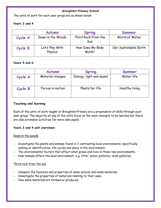The units of work for each year group are as shown below:

# **Years 3 and 4**

|         | <b>Autumn</b>              | <b>Spring</b>              | Summer                |
|---------|----------------------------|----------------------------|-----------------------|
| Cycle A | Down in the Woods          | Third Rock From the<br>Sun | World of Water        |
| Cycle B | Let's Play With<br>Physics | How Does My Body<br>Work?  | Our Sustainable Earth |

# **Years 5 and 6**

|         | <b>Autumn</b>    | <b>Spring</b>           | Summer         |
|---------|------------------|-------------------------|----------------|
| Cycle A | Material changes | Energy, light and sound | Water life     |
| Cycle B | Forces in motion | Plants for life         | Healthy living |

# **Teaching and learning**

Each of the units of work taught at Broughton Primary are a progression of skills through each year group. The majority of any of the units focus on the main concepts to be learned but there are also extension activities for more able pupils.

# **Years 3 and 4 unit overviews:**

# Down in the woods

- Investigate the plants and animals found in 2 contrasting local environments, specifically looking at identification, life cycles and place in the environment.
- The environmental factors that affect what grows and lives in those two environments.
- How humans affect the local environment, e.g. litter, water pollution, noise pollution.

# Third rock from the sun

- Compare the features and properties of some natural and made materials.
- Investigate the properties of materials relating to their uses.
- How some materials are formed or produced.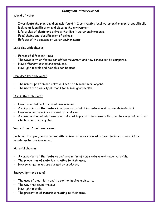# World of water

- Investigate the plants and animals found in 2 contrasting local water environments, specifically looking at identification and place in the environment.
- Life cycles of plants and animals that live in water environments.
- Food chains and classification of animals.
- Fffects of the seasons on water environments.

# Let's play with physics

- Forces of different kinds.
- The ways in which forces can affect movement and how forces can be compared.
- How different sounds are produced.
- How light travels and how this can be used.

# How does my body work?

- The names, position and relative sizes of a human's main organs.
- The need for a variety of foods for human good health.

# Our sustainable Earth

- How humans affect the local environment.
- A comparison of the features and properties of some natural and man-made materials.
- How some materials are formed or produced.
- A consideration of what waste is and what happens to local waste that can be recycled and that which cannot be recycled.

# **Years 5 and 6 unit overviews:**

Each unit in upper juniors begins with revision of work covered in lower juniors to consolidate knowledge before moving on.

# Material changes

- A comparison of the features and properties of some natural and made materials.
- The properties of materials relating to their uses.
- How some materials are formed or produced.

# Energy, light and sound

- The uses of electricity and its control in simple circuits.
- The way that sound travels.
- How light travels.
- The properties of materials relating to their uses.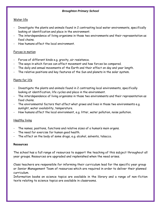# Water life

- Investigate the plants and animals found in 2 contrasting local water environments, specifically looking at identification and place in the environment.
- The interdependence of living organisms in those two environments and their representation as food chains.
- How humans affect the local environment.

# Forces in motion

- Forces of different kinds e.g. gravity, air resistance.
- The ways in which forces can affect movement and how forces be compared.
- The daily and annual movements of the Earth and their effect on day and year length.
- The relative positions and key features of the Sun and planets in the solar system.

# Plants for life

- Investigate the plants and animals found in 2 contrasting local environments, specifically looking at identification, life cycles and place in the environment.
- The interdependence of living organisms in those two environments and their representation as food chains.
- The environmental factors that affect what grows and lives in those two environments e.g. sunlight, water availability, temperature.
- How humans affect the local environment, e.g. litter, water pollution, noise pollution.

# Healthy living

- The names, positions, functions and relative sizes of a human's main organs.
- The need for exercise for human good health.
- The effect on the body of some drugs, e.g. alcohol, solvents, tobacco.

# **Resources**

The school has a full range of resources to support the teaching of this subject throughout all year groups. Resources are upgraded and replenished when the need arises.

Class teachers are responsible for informing their curriculum lead for the specific year group or Senior Management Team of resources which are required in order to deliver their planned curriculum.

Information books on science topics are available in the library and a range of non-fiction texts relating to science topics are available in classrooms.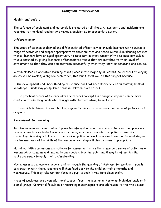# **Health and safety**

The safe use of equipment and materials is promoted at all times. All accidents and incidents are reported to the Head teacher who makes a decision as to appropriate action.

# **Differentiation**

The study of science is planned and differentiated effectively to provide learners with a suitable range of activities and support appropriate to their abilities and needs. Curriculum planning ensures that all learners have an equal opportunity to take part in every aspect of the science curriculum this is ensured by giving learners differentiated tasks that are matched to their level of attainment so that they can demonstrate successfully what they know, understand and can do.

Within classes co-operative learning takes places in the majority of lessons, so learners of varying ability will be working alongside each other, this lends itself well to this subject because:

1. The development and understanding of Science does not necessarily rely on an existing bank of knowledge. Pupils may grasp some areas in isolation from others.

2. The practical nature of Science often reinforces concepts in a tangible way and can be more conducive to assisting pupils who struggle with abstract ideas, formulae etc.

3. There is less demand for written language as Science can be recorded in terms of pictures and diagrams.

# **Assessment for learning**

Teacher assessment essential as it provides information about learners' attainment and progress. Learners' work is evaluated using clear criteria, which are consistently applied across the curriculum. Marking is in line with the marking policy and work is marked based on to what degree the learner has met the skills of the lesson, a next step will also be given if appropriate.

Not all activities or lessons are suitable for assessment since there may be a series of activities or lessons which combine and lead up to one specific teaching point and it may be after this that pupils are ready to apply their understanding.

Having assessed a learners understanding through the marking of their written work or through conversation with them, teachers will then feed back to the child on their strengths and weaknesses. This may take written form in a pupil's book it may take place orally.

Areas of weakness are given additional support from the teacher either on an individual basis or in a small group. Common difficulties or recurring misconceptions are addressed to the whole class.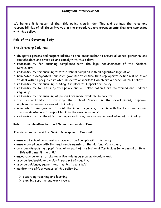We believe it is essential that this policy clearly identifies and outlines the roles and responsibilities of all those involved in the procedures and arrangements that are connected with this policy.

# **Role of the Governing Body**

The Governing Body has:

- delegated powers and responsibilities to the Headteacher to ensure all school personnel and stakeholders are aware of and comply with this policy;
- responsibility for ensuring compliance with the legal requirements of the National Curriculum;
- responsibility for ensuring that the school complies with all equalities legislation;
- nominated a designated Equalities governor to ensure that appropriate action will be taken to deal with all prejudice related incidents or incidents which are a breach of this policy;
- responsibility for ensuring funding is in place to support this policy;
- responsibility for ensuring this policy and all linked policies are maintained and updated regularly;
- responsibility for ensuring all policies are made available to parents;
- the responsibility of involving the School Council in the development, approval, implementation and review of this policy;
- nominated a link governor to visit the school regularly, to liaise with the Headteacher and the coordinator and to report back to the Governing Body;
- responsibility for the effective implementation, monitoring and evaluation of this policy

# **Role of the Headteacher and Senior Leadership Team**

The Headteacher and the Senior Management Team will:

- ensure all school personnel are aware of and comply with this policy;
- ensure compliance with the legal requirements of the National Curriculum;
- consider disapplying a pupil from all or part of the National Curriculum for a period of time if this will benefit the child;
- encourage parents to take an active role in curriculum development;
- provide leadership and vision in respect of equality;
- provide guidance, support and training to all staff;
- **n** monitor the effectiveness of this policy by;
	- $\triangleright$  observing teaching and learning
	- $\triangleright$  planning scrutiny and work trawls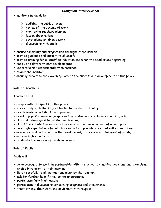- monitor standards by;
	- $\triangleright$  auditing the subject area
	- $\triangleright$  review of the scheme of work
	- $\triangleright$  monitoring teachers planning
	- $\triangleright$  lesson observations
	- $\triangleright$  scrutinising children's work
	- $\triangleright$  discussions with pupils
- ensure continuity and progression throughout the school;
- provide guidance and support to all staff;
- provide training for all staff on induction and when the need arises regarding;
- **E** keep up to date with new developments;
- undertake risk assessments when required;
- **Perical monitor:**
- annually report to the Governing Body on the success and development of this policy

# **Role of Teachers**

Teachers will:

- comply with all aspects of this policy;
- work closely with the subject leader to develop this policy;
- devise medium and short term planning;
- develop pupils' spoken language, reading, writing and vocabulary in all subjects;
- **Produce** plan and deliver good to outstanding lessons;
- plan differentiated lessons which are interactive, engaging and of a good pace;
- have high expectations for all children and will provide work that will extend them;
- assess, record and report on the development, progress and attainment of pupils;
- achieve high standards;
- celebrate the success of pupils in lessons

# **Role of Pupils**

Pupils will:

- be encouraged to work in partnership with the school by making decisions and exercising choice in relation to their learning;
- **EXTER** isten carefully to all instructions given by the teacher;
- ask for further help if they do not understand;
- participate fully in all lessons;
- participate in discussions concerning progress and attainment;
- treat others, their work and equipment with respect;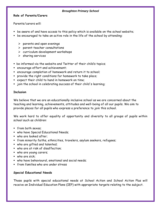# **Role of Parents/Carers**

Parents/carers will:

- be aware of and have access to this policy which is available on the school website;
- be encouraged to take an active role in the life of the school by attending:
	- $\triangleright$  parents and open evenings
	- $\triangleright$  parent-teacher consultations
	- $\triangleright$  curriculum development workshops
	- $\triangleright$  sharing services
- be informed via the website and Twitter of their child's topics;
- encourage effort and achievement;
- encourage completion of homework and return it to school;
- provide the right conditions for homework to take place;
- expect their child to hand in homework on time;
- join the school in celebrating success of their child's learning;

# **Inclusion**

We believe that we are an educationally inclusive school as we are concerned about the teaching and learning, achievements, attitudes and well-being of all our pupils. We aim to provide places for all pupils who express a preference to join this school.

We work hard to offer equality of opportunity and diversity to all groups of pupils within school such as children:

- from both sexes;
- who have Special Educational Needs;
- who are looked after;
- from minority faiths, ethnicities, travelers, asylum seekers, refugees;
- who are gifted and talented;
- who are at risk of disaffection;
- who are young carers;
- who are sick;
- who have behavioural, emotional and social needs;
- **from families who are under stress**

# **Special Educational Needs**

Those pupils with special educational needs at School Action and School Action Plus will receive an Individual Education Plans (IEP) with appropriate targets relating to the subject.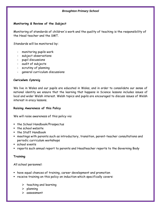# **Monitoring & Review of the Subject**

Monitoring of standards of children's work and the quality of teaching is the responsibility of the Head teacher and the SMT.

Standards will be monitored by:

- monitoring pupils work
- subject observations
- pupil discussions
- audit of subjects
- scrutiny of planning
- general curriculum discussions

# **Cwricwlwm Cymreig**

We live in Wales and our pupils are educated in Wales, and in order to consolidate our sense of national identity we ensure that the learning that happens in Science lessons includes issues of local and wider Welsh interest. Welsh topics and pupils are encouraged to discuss issues of Welsh interest in oracy lessons.

# **Raising Awareness of this Policy**

We will raise awareness of this policy via:

- **f** the School Handbook/Prospectus
- $\blacksquare$  the school website
- **the Staff Handbook**
- meetings with parents such as introductory, transition, parent-teacher consultations and periodic curriculum workshops
- school events
- reports such annual report to parents and Headteacher reports to the Governing Body

# **Training**

All school personnel:

- have equal chances of training, career development and promotion
- receive training on this policy on induction which specifically covers:
	- $\triangleright$  teaching and learning
	- $\triangleright$  planning
	- $\triangleright$  assessment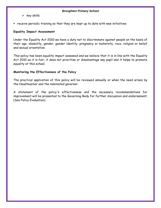- $\triangleright$  key skills
- receive periodic training so that they are kept up to date with new initiatives

# **Equality Impact Assessment**

Under the Equality Act 2010 we have a duty not to discriminate against people on the basis of their age, disability, gender, gender identity, pregnancy or maternity, race, religion or belief and sexual orientation.

This policy has been equality impact assessed and we believe that it is in line with the Equality Act 2010 as it is fair, it does not prioritise or disadvantage any pupil and it helps to promote equality at this school.

# **Monitoring the Effectiveness of the Policy**

The practical application of this policy will be reviewed annually or when the need arises by the Headteacher and the nominated governor.

A statement of the policy's effectiveness and the necessary recommendations for improvement will be presented to the Governing Body for further discussion and endorsement. (See Policy Evaluation)